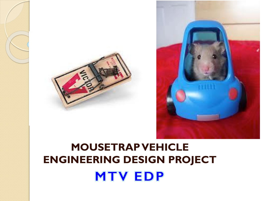## **MOUSETRAP VEHICLE ENGINEERING DESIGN PROJECTMTVEDP**



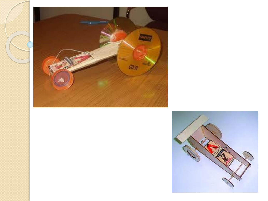

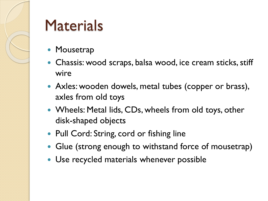

## **Materials**

- Mousetrap
- Chassis: wood scraps, balsa wood, ice cream sticks, stiff wire
- Axles: wooden dowels, metal tubes (copper or brass), axles from old toys
- Wheels: Metal lids, CDs, wheels from old toys, other disk-shaped objects
- Pull Cord: String, cord or fishing line
- Glue (strong enough to withstand force of mousetrap)
- Use recycled materials whenever possible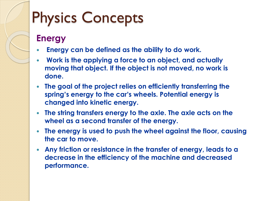# Physics Concepts

#### **Energy**

- **Energy can be defined as the ability to do work.**
- **Work is the applying a force to an object, and actually moving that object. If the object is not moved, no work is done.**
- **The goal of the project relies on efficiently transferring the spring's energy to the car's wheels. Potential energy is changed into kinetic energy.**
- **The string transfers energy to the axle. The axle acts on the wheel as a second transfer of the energy.**
- **The energy is used to push the wheel against the floor, causing the car to move.**
- **Any friction or resistance in the transfer of energy, leads to a decrease in the efficiency of the machine and decreased performance.**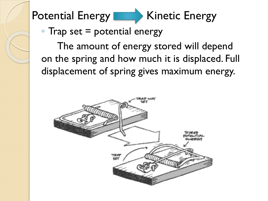## Potential Energy Kinetic Energy

◦ Trap set = potential energy

The amount of energy stored will depend on the spring and how much it is displaced. Full displacement of spring gives maximum energy.

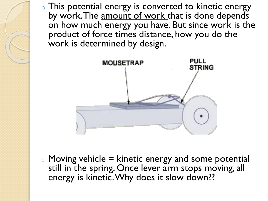o This potential energy is converted to kinetic energy by work. The amount of work that is done depends on how much energy you have. But since work is the product of force times distance, how you do the work is determined by design.



 $\circ$  Moving vehicle = kinetic energy and some potential still in the spring. Once lever arm stops moving, all energy is kinetic. Why does it slow down??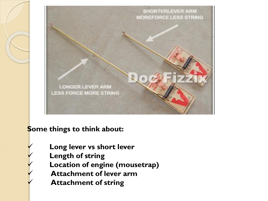

#### **Some things to think about:**

✓ **Long lever vs short lever Length of string Location of engine (mousetrap) Attachment of lever arm Attachment of string**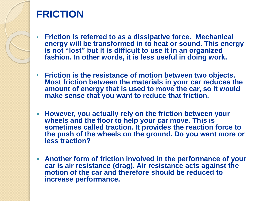

#### **FRICTION**

- **Friction is referred to as a dissipative force. Mechanical energy will be transformed in to heat or sound. This energy is not "lost" but it is difficult to use it in an organized fashion. In other words, it is less useful in doing work.**
- **Friction is the resistance of motion between two objects. Most friction between the materials in your car reduces the amount of energy that is used to move the car, so it would make sense that you want to reduce that friction.**
- **However, you actually rely on the friction between your wheels and the floor to help your car move. This is sometimes called traction. It provides the reaction force to the push of the wheels on the ground. Do you want more or less traction?**
- **Another form of friction involved in the performance of your car is air resistance (drag). Air resistance acts against the motion of the car and therefore should be reduced to increase performance.**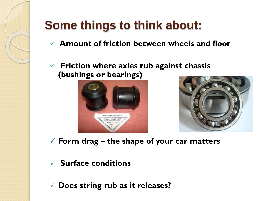

## **Some things to think about:**

✓ **Amount of friction between wheels and floor**

✓ **Friction where axles rub against chassis (bushings or bearings)**





✓ **Form drag – the shape of your car matters**

✓ **Surface conditions**

✓ **Does string rub as it releases?**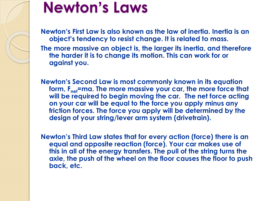

## **Newton's Laws**

**Newton's First Law is also known as the law of inertia. Inertia is an object's tendency to resist change. It is related to mass.**

**The more massive an object is, the larger its inertia, and therefore the harder it is to change its motion. This can work for or against you.** 

**Newton's Second Law is most commonly known in its equation**  form,  $F_{net}$ =ma. The more massive your car, the more force that **will be required to begin moving the car. The net force acting on your car will be equal to the force you apply minus any friction forces. The force you apply will be determined by the design of your string/lever arm system (drivetrain).**

**Newton's Third Law states that for every action (force) there is an equal and opposite reaction (force). Your car makes use of this in all of the energy transfers. The pull of the string turns the axle, the push of the wheel on the floor causes the floor to push back, etc.**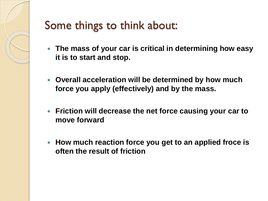

### Some things to think about:

- **The mass of your car is critical in determining how easy it is to start and stop.**
- **Overall acceleration will be determined by how much force you apply (effectively) and by the mass.**
- **Friction will decrease the net force causing your car to move forward**
- **How much reaction force you get to an applied froce is often the result of friction**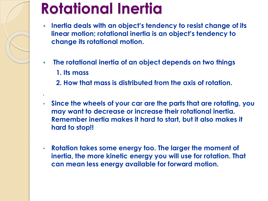## **Rotational Inertia**

*.*

- **Inertia deals with an object's tendency to resist change of its linear motion; rotational inertia is an object's tendency to change its rotational motion.**
- **The rotational inertia of an object depends on two things 1. Its mass** 
	- **2. How that mass is distributed from the axis of rotation.**
- **Since the wheels of your car are the parts that are rotating, you may want to decrease or increase their rotational inertia. Remember inertia makes it hard to start, but it also makes it hard to stop!!**
- **Rotation takes some energy too. The larger the moment of inertia, the more kinetic energy you will use for rotation. That can mean less energy available for forward motion.**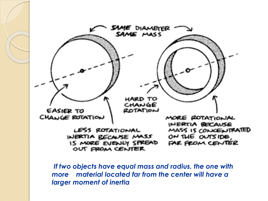

*If two objects have equal mass and radius, the one with more material located far from the center will have a larger moment of inertia*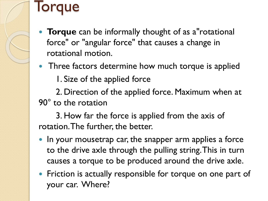## **lorque**

- **Torque** can be informally thought of as a"rotational force" or "angular force" that causes a change in rotational motion.
- Three factors determine how much torque is applied 1. Size of the applied force

2. Direction of the applied force. Maximum when at 90° to the rotation

3. How far the force is applied from the axis of rotation. The further, the better.

- In your mousetrap car, the snapper arm applies a force to the drive axle through the pulling string. This in turn causes a torque to be produced around the drive axle.
- **Friction is actually responsible for torque on one part of** your car. Where?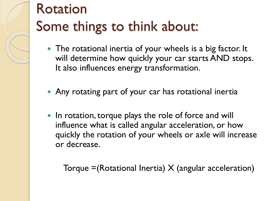## Rotation Some things to think about:

- The rotational inertia of your wheels is a big factor. It will determine how quickly your car starts AND stops. It also influences energy transformation.
- Any rotating part of your car has rotational inertia
- In rotation, torque plays the role of force and will influence what is called angular acceleration, or how quickly the rotation of your wheels or axle will increase or decrease.

Torque =(Rotational Inertia)  $X$  (angular acceleration)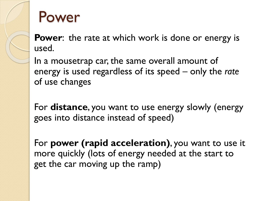

## Power

**Power:** the rate at which work is done or energy is used.

In a mousetrap car, the same overall amount of energy is used regardless of its speed – only the *rate*  of use changes

For **distance**, you want to use energy slowly (energy goes into distance instead of speed)

For **power (rapid acceleration)**, you want to use it more quickly (lots of energy needed at the start to get the car moving up the ramp)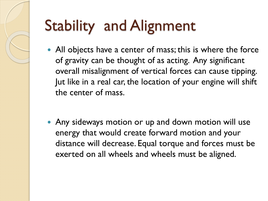# Stability and Alignment

- All objects have a center of mass; this is where the force of gravity can be thought of as acting. Any significant overall misalignment of vertical forces can cause tipping. Jut like in a real car, the location of your engine will shift the center of mass.
- Any sideways motion or up and down motion will use energy that would create forward motion and your distance will decrease. Equal torque and forces must be exerted on all wheels and wheels must be aligned.